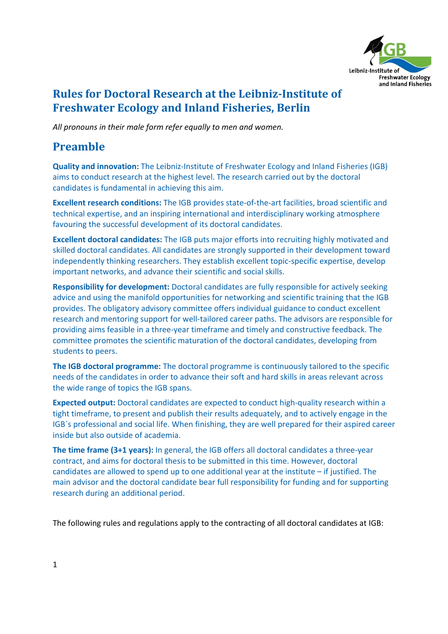

## **Rules for Doctoral Research at the Leibniz‐Institute of Freshwater Ecology and Inland Fisheries, Berlin**

*All pronouns in their male form refer equally to men and women.*

# **Preamble**

**Quality and innovation:** The Leibniz‐Institute of Freshwater Ecology and Inland Fisheries (IGB) aims to conduct research at the highest level. The research carried out by the doctoral candidates is fundamental in achieving this aim.

**Excellent research conditions:** The IGB provides state‐of‐the‐art facilities, broad scientific and technical expertise, and an inspiring international and interdisciplinary working atmosphere favouring the successful development of its doctoral candidates.

**Excellent doctoral candidates:** The IGB puts major efforts into recruiting highly motivated and skilled doctoral candidates. All candidates are strongly supported in their development toward independently thinking researchers. They establish excellent topic‐specific expertise, develop important networks, and advance their scientific and social skills.

**Responsibility for development:** Doctoral candidates are fully responsible for actively seeking advice and using the manifold opportunities for networking and scientific training that the IGB provides. The obligatory advisory committee offers individual guidance to conduct excellent research and mentoring support for well‐tailored career paths. The advisors are responsible for providing aims feasible in a three‐year timeframe and timely and constructive feedback. The committee promotes the scientific maturation of the doctoral candidates, developing from students to peers.

**The IGB doctoral programme:** The doctoral programme is continuously tailored to the specific needs of the candidates in order to advance their soft and hard skills in areas relevant across the wide range of topics the IGB spans.

**Expected output:** Doctoral candidates are expected to conduct high-quality research within a tight timeframe, to present and publish their results adequately, and to actively engage in the IGB´s professional and social life. When finishing, they are well prepared for their aspired career inside but also outside of academia.

**The time frame (3+1 years):** In general, the IGB offers all doctoral candidates a three‐year contract, and aims for doctoral thesis to be submitted in this time. However, doctoral candidates are allowed to spend up to one additional year at the institute  $-$  if justified. The main advisor and the doctoral candidate bear full responsibility for funding and for supporting research during an additional period.

The following rules and regulations apply to the contracting of all doctoral candidates at IGB: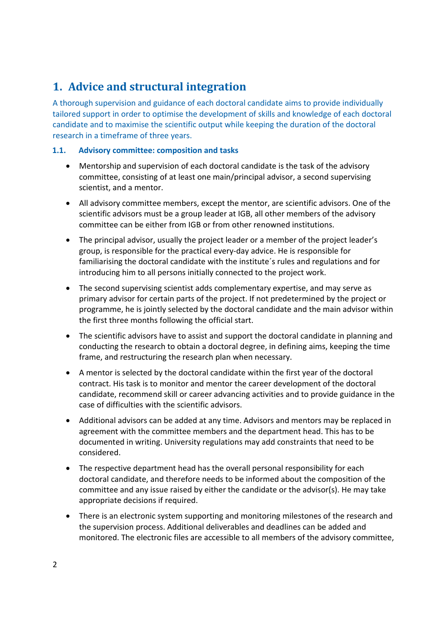# **1. Advice and structural integration**

A thorough supervision and guidance of each doctoral candidate aims to provide individually tailored support in order to optimise the development of skills and knowledge of each doctoral candidate and to maximise the scientific output while keeping the duration of the doctoral research in a timeframe of three years.

### **1.1. Advisory committee: composition and tasks**

- Mentorship and supervision of each doctoral candidate is the task of the advisory committee, consisting of at least one main/principal advisor, a second supervising scientist, and a mentor.
- All advisory committee members, except the mentor, are scientific advisors. One of the scientific advisors must be a group leader at IGB, all other members of the advisory committee can be either from IGB or from other renowned institutions.
- The principal advisor, usually the project leader or a member of the project leader's group, is responsible for the practical every‐day advice. He is responsible for familiarising the doctoral candidate with the institute´s rules and regulations and for introducing him to all persons initially connected to the project work.
- The second supervising scientist adds complementary expertise, and may serve as primary advisor for certain parts of the project. If not predetermined by the project or programme, he is jointly selected by the doctoral candidate and the main advisor within the first three months following the official start.
- The scientific advisors have to assist and support the doctoral candidate in planning and conducting the research to obtain a doctoral degree, in defining aims, keeping the time frame, and restructuring the research plan when necessary.
- A mentor is selected by the doctoral candidate within the first year of the doctoral contract. His task is to monitor and mentor the career development of the doctoral candidate, recommend skill or career advancing activities and to provide guidance in the case of difficulties with the scientific advisors.
- Additional advisors can be added at any time. Advisors and mentors may be replaced in agreement with the committee members and the department head. This has to be documented in writing. University regulations may add constraints that need to be considered.
- The respective department head has the overall personal responsibility for each doctoral candidate, and therefore needs to be informed about the composition of the committee and any issue raised by either the candidate or the advisor(s). He may take appropriate decisions if required.
- There is an electronic system supporting and monitoring milestones of the research and the supervision process. Additional deliverables and deadlines can be added and monitored. The electronic files are accessible to all members of the advisory committee,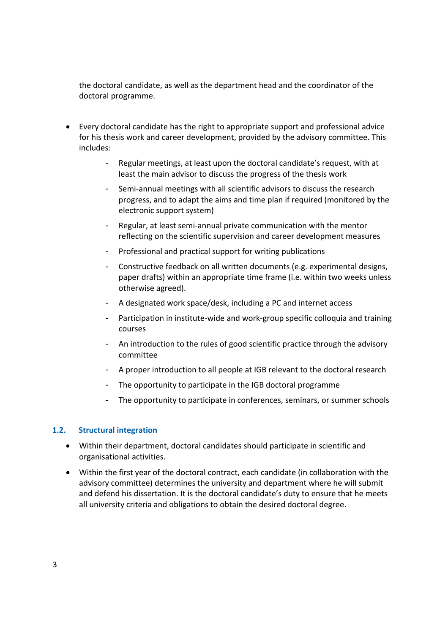the doctoral candidate, as well as the department head and the coordinator of the doctoral programme.

- Every doctoral candidate has the right to appropriate support and professional advice for his thesis work and career development, provided by the advisory committee. This includes:
	- Regular meetings, at least upon the doctoral candidate's request, with at least the main advisor to discuss the progress of the thesis work
	- Semi‐annual meetings with all scientific advisors to discuss the research progress, and to adapt the aims and time plan if required (monitored by the electronic support system)
	- Regular, at least semi‐annual private communication with the mentor reflecting on the scientific supervision and career development measures
	- Professional and practical support for writing publications
	- Constructive feedback on all written documents (e.g. experimental designs, paper drafts) within an appropriate time frame (i.e. within two weeks unless otherwise agreed).
	- A designated work space/desk, including a PC and internet access
	- Participation in institute‐wide and work‐group specific colloquia and training courses
	- An introduction to the rules of good scientific practice through the advisory committee
	- A proper introduction to all people at IGB relevant to the doctoral research
	- The opportunity to participate in the IGB doctoral programme
	- The opportunity to participate in conferences, seminars, or summer schools

#### **1.2. Structural integration**

- Within their department, doctoral candidates should participate in scientific and organisational activities.
- Within the first year of the doctoral contract, each candidate (in collaboration with the advisory committee) determines the university and department where he will submit and defend his dissertation. It is the doctoral candidate's duty to ensure that he meets all university criteria and obligations to obtain the desired doctoral degree.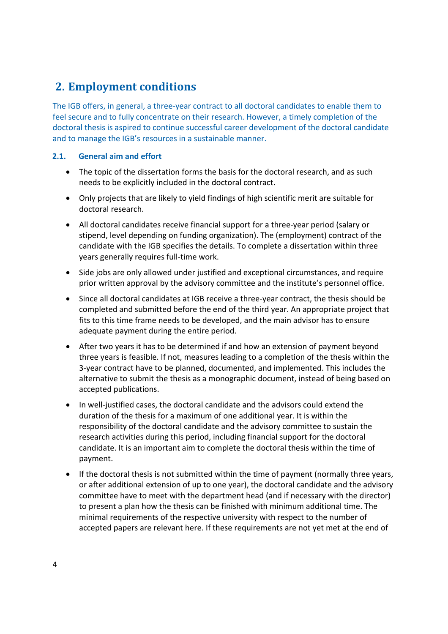# **2. Employment conditions**

The IGB offers, in general, a three‐year contract to all doctoral candidates to enable them to feel secure and to fully concentrate on their research. However, a timely completion of the doctoral thesis is aspired to continue successful career development of the doctoral candidate and to manage the IGB's resources in a sustainable manner.

### **2.1. General aim and effort**

- The topic of the dissertation forms the basis for the doctoral research, and as such needs to be explicitly included in the doctoral contract.
- Only projects that are likely to yield findings of high scientific merit are suitable for doctoral research.
- All doctoral candidates receive financial support for a three‐year period (salary or stipend, level depending on funding organization). The (employment) contract of the candidate with the IGB specifies the details. To complete a dissertation within three years generally requires full‐time work.
- Side jobs are only allowed under justified and exceptional circumstances, and require prior written approval by the advisory committee and the institute's personnel office.
- Since all doctoral candidates at IGB receive a three‐year contract, the thesis should be completed and submitted before the end of the third year. An appropriate project that fits to this time frame needs to be developed, and the main advisor has to ensure adequate payment during the entire period.
- After two years it has to be determined if and how an extension of payment beyond three years is feasible. If not, measures leading to a completion of the thesis within the 3‐year contract have to be planned, documented, and implemented. This includes the alternative to submit the thesis as a monographic document, instead of being based on accepted publications.
- In well-justified cases, the doctoral candidate and the advisors could extend the duration of the thesis for a maximum of one additional year. It is within the responsibility of the doctoral candidate and the advisory committee to sustain the research activities during this period, including financial support for the doctoral candidate. It is an important aim to complete the doctoral thesis within the time of payment.
- If the doctoral thesis is not submitted within the time of payment (normally three years, or after additional extension of up to one year), the doctoral candidate and the advisory committee have to meet with the department head (and if necessary with the director) to present a plan how the thesis can be finished with minimum additional time. The minimal requirements of the respective university with respect to the number of accepted papers are relevant here. If these requirements are not yet met at the end of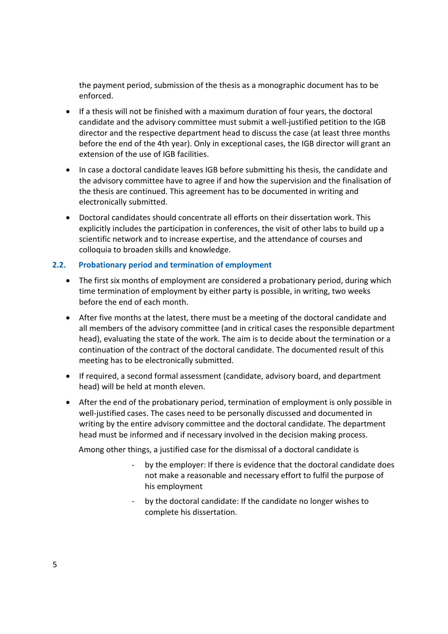the payment period, submission of the thesis as a monographic document has to be enforced.

- If a thesis will not be finished with a maximum duration of four years, the doctoral candidate and the advisory committee must submit a well‐justified petition to the IGB director and the respective department head to discuss the case (at least three months before the end of the 4th year). Only in exceptional cases, the IGB director will grant an extension of the use of IGB facilities.
- In case a doctoral candidate leaves IGB before submitting his thesis, the candidate and the advisory committee have to agree if and how the supervision and the finalisation of the thesis are continued. This agreement has to be documented in writing and electronically submitted.
- Doctoral candidates should concentrate all efforts on their dissertation work. This explicitly includes the participation in conferences, the visit of other labs to build up a scientific network and to increase expertise, and the attendance of courses and colloquia to broaden skills and knowledge.

### **2.2. Probationary period and termination of employment**

- The first six months of employment are considered a probationary period, during which time termination of employment by either party is possible, in writing, two weeks before the end of each month.
- After five months at the latest, there must be a meeting of the doctoral candidate and all members of the advisory committee (and in critical cases the responsible department head), evaluating the state of the work. The aim is to decide about the termination or a continuation of the contract of the doctoral candidate. The documented result of this meeting has to be electronically submitted.
- If required, a second formal assessment (candidate, advisory board, and department head) will be held at month eleven.
- After the end of the probationary period, termination of employment is only possible in well-justified cases. The cases need to be personally discussed and documented in writing by the entire advisory committee and the doctoral candidate. The department head must be informed and if necessary involved in the decision making process.

Among other things, a justified case for the dismissal of a doctoral candidate is

- ‐ by the employer: If there is evidence that the doctoral candidate does not make a reasonable and necessary effort to fulfil the purpose of his employment
- by the doctoral candidate: If the candidate no longer wishes to complete his dissertation.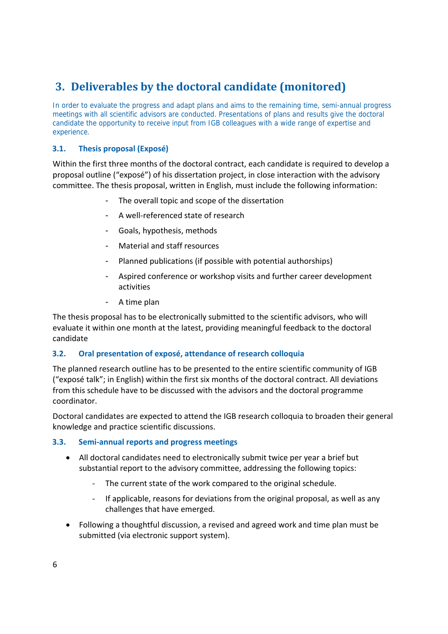# **3. Deliverables by the doctoral candidate (monitored)**

In order to evaluate the progress and adapt plans and aims to the remaining time, semi-annual progress meetings with all scientific advisors are conducted. Presentations of plans and results give the doctoral candidate the opportunity to receive input from IGB colleagues with a wide range of expertise and experience.

### **3.1. Thesis proposal (Exposé)**

Within the first three months of the doctoral contract, each candidate is required to develop a proposal outline ("exposé") of his dissertation project, in close interaction with the advisory committee. The thesis proposal, written in English, must include the following information:

- The overall topic and scope of the dissertation
- A well-referenced state of research
- Goals, hypothesis, methods
- Material and staff resources
- Planned publications (if possible with potential authorships)
- Aspired conference or workshop visits and further career development activities
- A time plan

The thesis proposal has to be electronically submitted to the scientific advisors, who will evaluate it within one month at the latest, providing meaningful feedback to the doctoral candidate

### **3.2. Oral presentation of exposé, attendance of research colloquia**

The planned research outline has to be presented to the entire scientific community of IGB ("exposé talk"; in English) within the first six months of the doctoral contract. All deviations from this schedule have to be discussed with the advisors and the doctoral programme coordinator.

Doctoral candidates are expected to attend the IGB research colloquia to broaden their general knowledge and practice scientific discussions.

### **3.3. Semi‐annual reports and progress meetings**

- All doctoral candidates need to electronically submit twice per year a brief but substantial report to the advisory committee, addressing the following topics:
	- ‐ The current state of the work compared to the original schedule.
	- ‐ If applicable, reasons for deviations from the original proposal, as well as any challenges that have emerged.
- Following a thoughtful discussion, a revised and agreed work and time plan must be submitted (via electronic support system).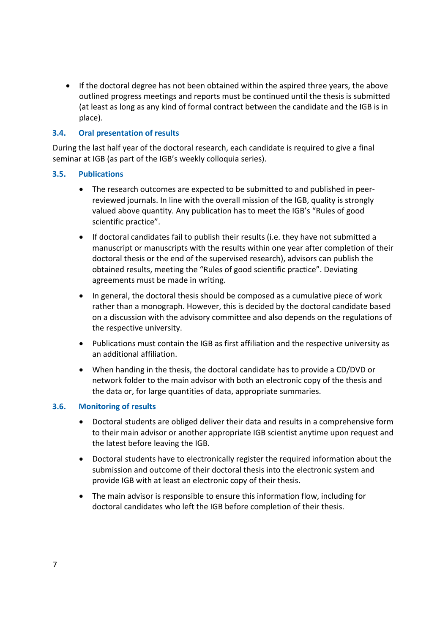If the doctoral degree has not been obtained within the aspired three years, the above outlined progress meetings and reports must be continued until the thesis is submitted (at least as long as any kind of formal contract between the candidate and the IGB is in place).

### **3.4. Oral presentation of results**

During the last half year of the doctoral research, each candidate is required to give a final seminar at IGB (as part of the IGB's weekly colloquia series).

### **3.5. Publications**

- The research outcomes are expected to be submitted to and published in peer‐ reviewed journals. In line with the overall mission of the IGB, quality is strongly valued above quantity. Any publication has to meet the IGB's "Rules of good scientific practice".
- If doctoral candidates fail to publish their results (i.e. they have not submitted a manuscript or manuscripts with the results within one year after completion of their doctoral thesis or the end of the supervised research), advisors can publish the obtained results, meeting the "Rules of good scientific practice". Deviating agreements must be made in writing.
- In general, the doctoral thesis should be composed as a cumulative piece of work rather than a monograph. However, this is decided by the doctoral candidate based on a discussion with the advisory committee and also depends on the regulations of the respective university.
- Publications must contain the IGB as first affiliation and the respective university as an additional affiliation.
- When handing in the thesis, the doctoral candidate has to provide a CD/DVD or network folder to the main advisor with both an electronic copy of the thesis and the data or, for large quantities of data, appropriate summaries.

### **3.6. Monitoring of results**

- Doctoral students are obliged deliver their data and results in a comprehensive form to their main advisor or another appropriate IGB scientist anytime upon request and the latest before leaving the IGB.
- Doctoral students have to electronically register the required information about the submission and outcome of their doctoral thesis into the electronic system and provide IGB with at least an electronic copy of their thesis.
- The main advisor is responsible to ensure this information flow, including for doctoral candidates who left the IGB before completion of their thesis.